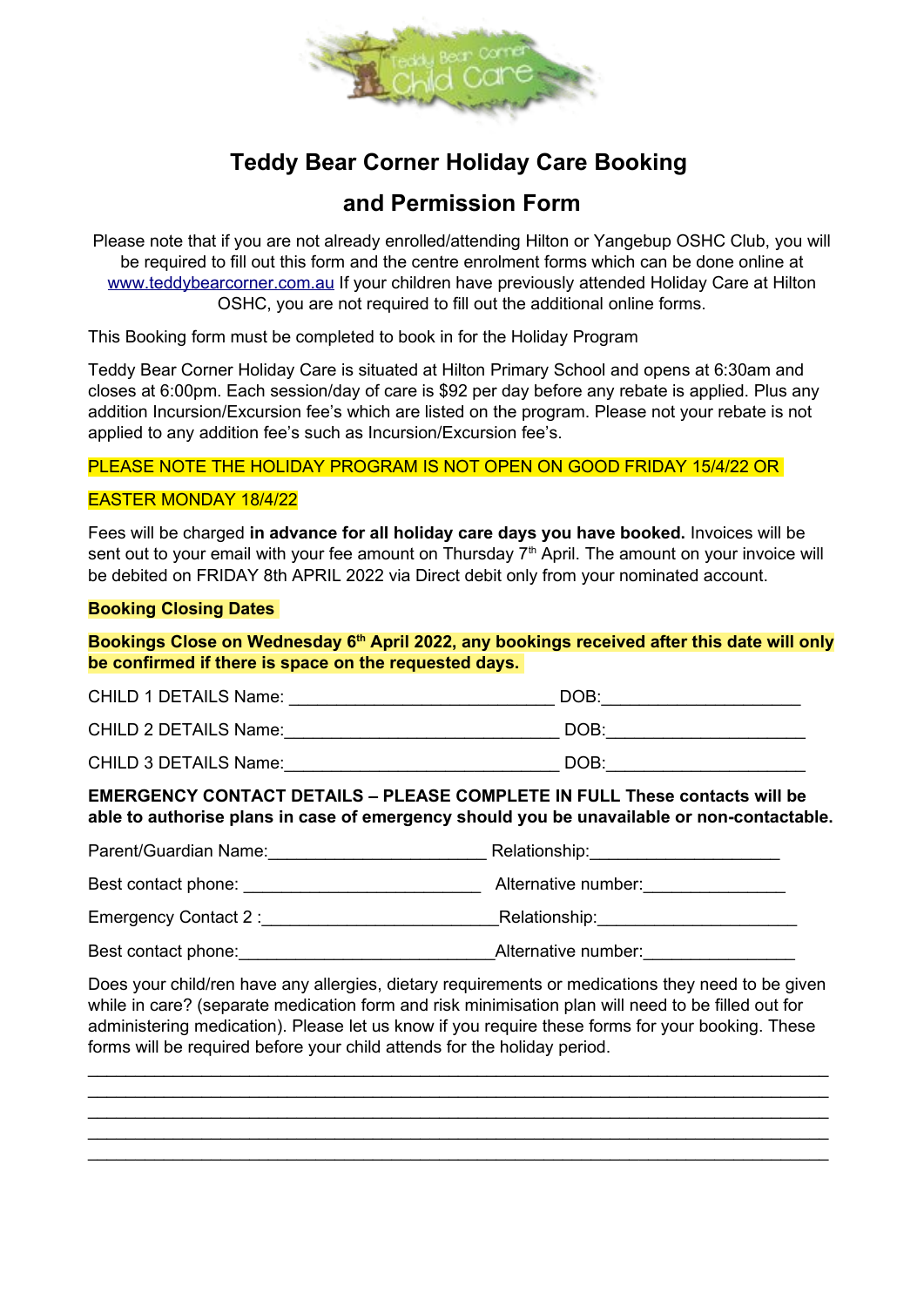

# **Teddy Bear Corner Holiday Care Booking**

# **and Permission Form**

Please note that if you are not already enrolled/attending Hilton or Yangebup OSHC Club, you will be required to fill out this form and the centre enrolment forms which can be done online at [www.teddybearcorner.com.au](http://www.teddybearcorner.com.au/) If your children have previously attended Holiday Care at Hilton OSHC, you are not required to fill out the additional online forms.

This Booking form must be completed to book in for the Holiday Program

Teddy Bear Corner Holiday Care is situated at Hilton Primary School and opens at 6:30am and closes at 6:00pm. Each session/day of care is \$92 per day before any rebate is applied. Plus any addition Incursion/Excursion fee's which are listed on the program. Please not your rebate is not applied to any addition fee's such as Incursion/Excursion fee's.

PLEASE NOTE THE HOLIDAY PROGRAM IS NOT OPEN ON GOOD FRIDAY 15/4/22 OR

#### EASTER MONDAY 18/4/22

Fees will be charged **in advance for all holiday care days you have booked.** Invoices will be sent out to your email with your fee amount on Thursday  $7<sup>th</sup>$  April. The amount on your invoice will be debited on FRIDAY 8th APRIL 2022 via Direct debit only from your nominated account.

#### **Booking Closing Dates**

**Bookings Close on Wednesday 6th April 2022, any bookings received after this date will only be confirmed if there is space on the requested days.** 

| <b>CHILD 1 DETAILS Name:</b> | DOB: |  |
|------------------------------|------|--|
| <b>CHILD 2 DETAILS Name:</b> | DOB: |  |
| <b>CHILD 3 DETAILS Name:</b> | DOB: |  |

**EMERGENCY CONTACT DETAILS – PLEASE COMPLETE IN FULL These contacts will be able to authorise plans in case of emergency should you be unavailable or non-contactable.**

Parent/Guardian Name: \_\_\_\_\_\_\_\_\_\_\_\_\_\_\_\_\_\_\_\_\_\_\_\_\_\_\_ Relationship: \_\_\_\_\_\_\_\_\_\_\_\_\_\_\_\_ Best contact phone: \_\_\_\_\_\_\_\_\_\_\_\_\_\_\_\_\_\_\_\_\_\_\_\_\_ Alternative number:\_\_\_\_\_\_\_\_\_\_\_\_\_\_\_ Emergency Contact 2 :\_\_\_\_\_\_\_\_\_\_\_\_\_\_\_\_\_\_\_\_\_\_\_\_\_Relationship:\_\_\_\_\_\_\_\_\_\_\_\_\_\_\_\_\_\_\_\_\_ Best contact phone: example and alternative number:

Does your child/ren have any allergies, dietary requirements or medications they need to be given while in care? (separate medication form and risk minimisation plan will need to be filled out for administering medication). Please let us know if you require these forms for your booking. These forms will be required before your child attends for the holiday period.

\_\_\_\_\_\_\_\_\_\_\_\_\_\_\_\_\_\_\_\_\_\_\_\_\_\_\_\_\_\_\_\_\_\_\_\_\_\_\_\_\_\_\_\_\_\_\_\_\_\_\_\_\_\_\_\_\_\_\_\_\_\_\_\_\_\_\_\_\_\_\_\_\_\_\_\_\_\_ \_\_\_\_\_\_\_\_\_\_\_\_\_\_\_\_\_\_\_\_\_\_\_\_\_\_\_\_\_\_\_\_\_\_\_\_\_\_\_\_\_\_\_\_\_\_\_\_\_\_\_\_\_\_\_\_\_\_\_\_\_\_\_\_\_\_\_\_\_\_\_\_\_\_\_\_\_\_ \_\_\_\_\_\_\_\_\_\_\_\_\_\_\_\_\_\_\_\_\_\_\_\_\_\_\_\_\_\_\_\_\_\_\_\_\_\_\_\_\_\_\_\_\_\_\_\_\_\_\_\_\_\_\_\_\_\_\_\_\_\_\_\_\_\_\_\_\_\_\_\_\_\_\_\_\_\_ \_\_\_\_\_\_\_\_\_\_\_\_\_\_\_\_\_\_\_\_\_\_\_\_\_\_\_\_\_\_\_\_\_\_\_\_\_\_\_\_\_\_\_\_\_\_\_\_\_\_\_\_\_\_\_\_\_\_\_\_\_\_\_\_\_\_\_\_\_\_\_\_\_\_\_\_\_\_ \_\_\_\_\_\_\_\_\_\_\_\_\_\_\_\_\_\_\_\_\_\_\_\_\_\_\_\_\_\_\_\_\_\_\_\_\_\_\_\_\_\_\_\_\_\_\_\_\_\_\_\_\_\_\_\_\_\_\_\_\_\_\_\_\_\_\_\_\_\_\_\_\_\_\_\_\_\_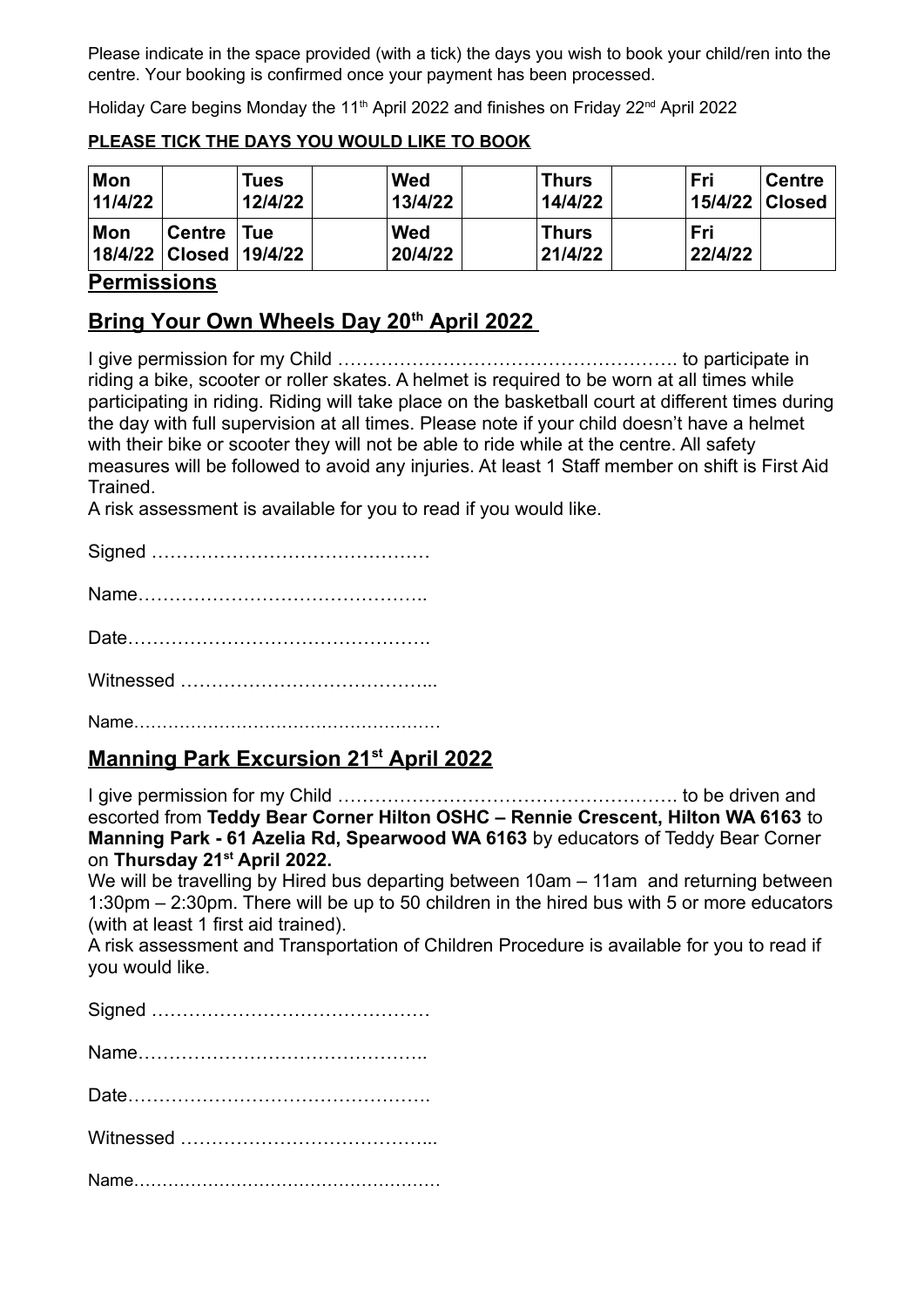Please indicate in the space provided (with a tick) the days you wish to book your child/ren into the centre. Your booking is confirmed once your payment has been processed.

Holiday Care begins Monday the 11<sup>th</sup> April 2022 and finishes on Friday 22<sup>nd</sup> April 2022

#### **Mon 11/4/22 Tues 12/4/22 Wed 13/4/22 Thurs 14/4/22 Fri 15/4/22 Centre Closed Mon 18/4/22 Closed Centre Tue 19/4/22 Wed 20/4/22 Thurs 21/4/22 Fri 22/4/22**

### **PLEASE TICK THE DAYS YOU WOULD LIKE TO BOOK**

## **Permissions**

# **Bring Your Own Wheels Day 20th April 2022**

I give permission for my Child ………………………………………………. to participate in riding a bike, scooter or roller skates. A helmet is required to be worn at all times while participating in riding. Riding will take place on the basketball court at different times during the day with full supervision at all times. Please note if your child doesn't have a helmet with their bike or scooter they will not be able to ride while at the centre. All safety measures will be followed to avoid any injuries. At least 1 Staff member on shift is First Aid Trained.

A risk assessment is available for you to read if you would like.

Name………………………………………………

## **Manning Park Excursion 21st April 2022**

I give permission for my Child ………………………………………………. to be driven and escorted from **Teddy Bear Corner Hilton OSHC – Rennie Crescent, Hilton WA 6163** to **Manning Park - 61 Azelia Rd, Spearwood WA 6163** by educators of Teddy Bear Corner on **Thursday 21st April 2022.** 

We will be travelling by Hired bus departing between 10am – 11am and returning between 1:30pm – 2:30pm. There will be up to 50 children in the hired bus with 5 or more educators (with at least 1 first aid trained).

A risk assessment and Transportation of Children Procedure is available for you to read if you would like.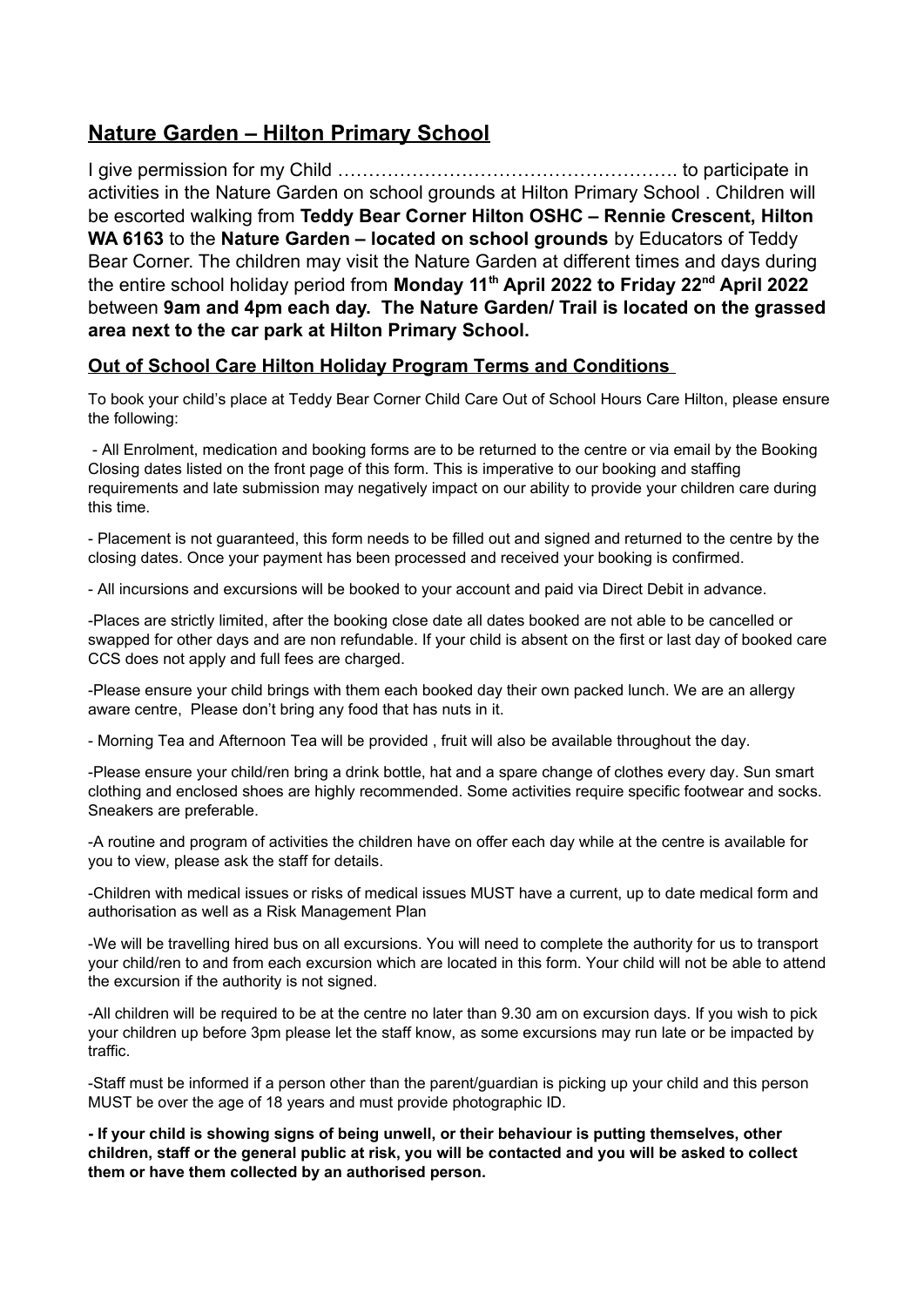# **Nature Garden – Hilton Primary School**

I give permission for my Child ………………………………………………. to participate in activities in the Nature Garden on school grounds at Hilton Primary School . Children will be escorted walking from **Teddy Bear Corner Hilton OSHC – Rennie Crescent, Hilton WA 6163** to the **Nature Garden – located on school grounds** by Educators of Teddy Bear Corner. The children may visit the Nature Garden at different times and days during the entire school holiday period from **Monday 11th April 2022 to Friday 22nd April 2022** between **9am and 4pm each day. The Nature Garden/ Trail is located on the grassed area next to the car park at Hilton Primary School.** 

## **Out of School Care Hilton Holiday Program Terms and Conditions**

To book your child's place at Teddy Bear Corner Child Care Out of School Hours Care Hilton, please ensure the following:

 - All Enrolment, medication and booking forms are to be returned to the centre or via email by the Booking Closing dates listed on the front page of this form. This is imperative to our booking and staffing requirements and late submission may negatively impact on our ability to provide your children care during this time.

- Placement is not guaranteed, this form needs to be filled out and signed and returned to the centre by the closing dates. Once your payment has been processed and received your booking is confirmed.

- All incursions and excursions will be booked to your account and paid via Direct Debit in advance.

-Places are strictly limited, after the booking close date all dates booked are not able to be cancelled or swapped for other days and are non refundable. If your child is absent on the first or last day of booked care CCS does not apply and full fees are charged.

-Please ensure your child brings with them each booked day their own packed lunch. We are an allergy aware centre, Please don't bring any food that has nuts in it.

- Morning Tea and Afternoon Tea will be provided , fruit will also be available throughout the day.

-Please ensure your child/ren bring a drink bottle, hat and a spare change of clothes every day. Sun smart clothing and enclosed shoes are highly recommended. Some activities require specific footwear and socks. Sneakers are preferable.

-A routine and program of activities the children have on offer each day while at the centre is available for you to view, please ask the staff for details.

-Children with medical issues or risks of medical issues MUST have a current, up to date medical form and authorisation as well as a Risk Management Plan

-We will be travelling hired bus on all excursions. You will need to complete the authority for us to transport your child/ren to and from each excursion which are located in this form. Your child will not be able to attend the excursion if the authority is not signed.

-All children will be required to be at the centre no later than 9.30 am on excursion days. If you wish to pick your children up before 3pm please let the staff know, as some excursions may run late or be impacted by traffic.

-Staff must be informed if a person other than the parent/guardian is picking up your child and this person MUST be over the age of 18 years and must provide photographic ID.

**- If your child is showing signs of being unwell, or their behaviour is putting themselves, other children, staff or the general public at risk, you will be contacted and you will be asked to collect them or have them collected by an authorised person.**